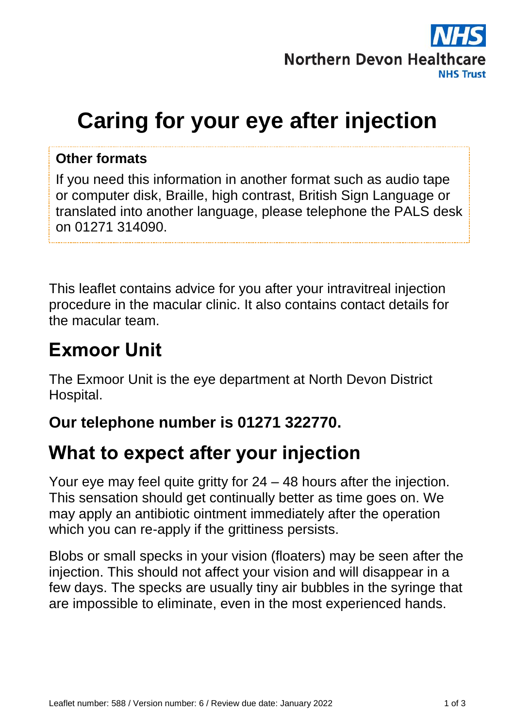

# **Caring for your eye after injection**

#### **Other formats**

If you need this information in another format such as audio tape or computer disk, Braille, high contrast, British Sign Language or translated into another language, please telephone the PALS desk on 01271 314090.

This leaflet contains advice for you after your intravitreal injection procedure in the macular clinic. It also contains contact details for the macular team.

#### **Exmoor Unit**

The Exmoor Unit is the eye department at North Devon District Hospital.

#### **Our telephone number is 01271 322770.**

### **What to expect after your injection**

Your eye may feel quite gritty for 24 – 48 hours after the injection. This sensation should get continually better as time goes on. We may apply an antibiotic ointment immediately after the operation which you can re-apply if the grittiness persists.

Blobs or small specks in your vision (floaters) may be seen after the injection. This should not affect your vision and will disappear in a few days. The specks are usually tiny air bubbles in the syringe that are impossible to eliminate, even in the most experienced hands.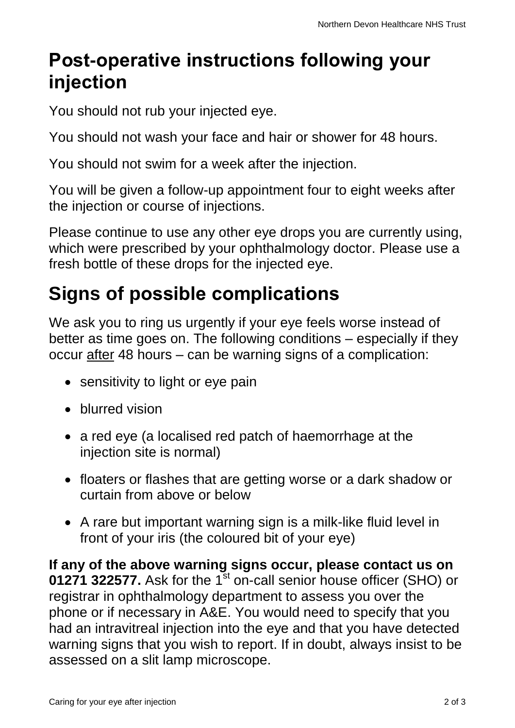### **Post-operative instructions following your injection**

You should not rub your injected eye.

You should not wash your face and hair or shower for 48 hours.

You should not swim for a week after the injection.

You will be given a follow-up appointment four to eight weeks after the injection or course of injections.

Please continue to use any other eye drops you are currently using, which were prescribed by your ophthalmology doctor. Please use a fresh bottle of these drops for the injected eye.

## **Signs of possible complications**

We ask you to ring us urgently if your eye feels worse instead of better as time goes on. The following conditions – especially if they occur after 48 hours – can be warning signs of a complication:

- sensitivity to light or eye pain
- blurred vision
- a red eye (a localised red patch of haemorrhage at the injection site is normal)
- floaters or flashes that are getting worse or a dark shadow or curtain from above or below
- A rare but important warning sign is a milk-like fluid level in front of your iris (the coloured bit of your eye)

**If any of the above warning signs occur, please contact us on 01271 322577.** Ask for the 1<sup>st</sup> on-call senior house officer (SHO) or registrar in ophthalmology department to assess you over the phone or if necessary in A&E. You would need to specify that you had an intravitreal injection into the eye and that you have detected warning signs that you wish to report. If in doubt, always insist to be assessed on a slit lamp microscope.